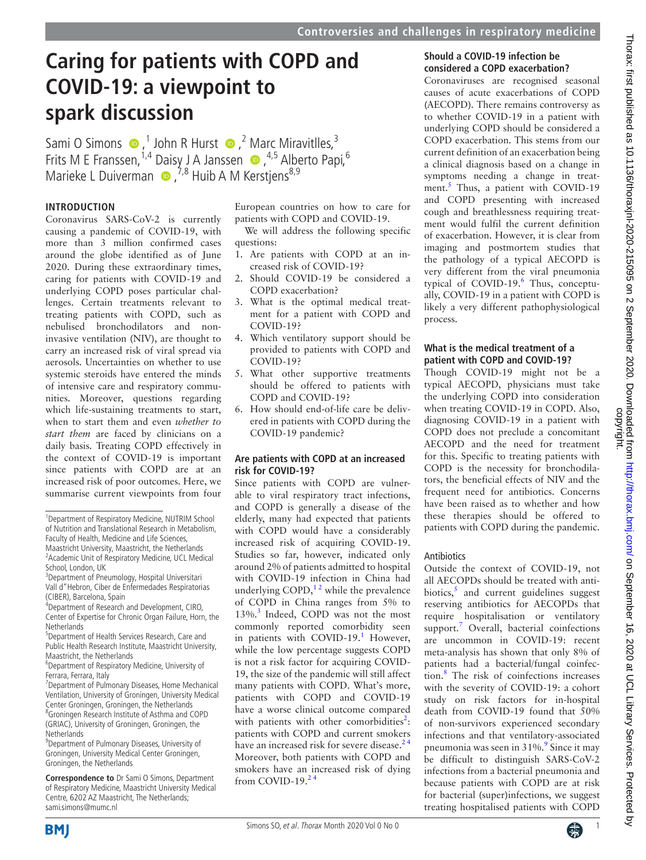# **Caring for patients with COPD and COVID-19: a viewpoint to spark discussion**

SamiO Simons  $\bullet$ ,<sup>1</sup> John R Hurst  $\bullet$ ,<sup>2</sup> Marc Miravitlles,<sup>3</sup> FritsM E Franssen, <sup>1,4</sup> Daisy J A Janssen  $\bullet$ , <sup>4,5</sup> Alberto Papi, <sup>6</sup> Marieke L Duiverman  $\bullet$ , <sup>7,8</sup> Huib A M Kerstjens<sup>8,9</sup>

## **INTRODUCTION**

Coronavirus SARS-CoV-2 is currently causing a pandemic of COVID-19, with more than 3 million confirmed cases around the globe identified as of June 2020. During these extraordinary times, caring for patients with COVID-19 and underlying COPD poses particular challenges. Certain treatments relevant to treating patients with COPD, such as nebulised bronchodilators and noninvasive ventilation (NIV), are thought to carry an increased risk of viral spread via aerosols. Uncertainties on whether to use systemic steroids have entered the minds of intensive care and respiratory communities. Moreover, questions regarding which life-sustaining treatments to start, when to start them and even *whether to start them* are faced by clinicians on a daily basis. Treating COPD effectively in the context of COVID-19 is important since patients with COPD are at an increased risk of poor outcomes. Here, we summarise current viewpoints from four

**Correspondence to** Dr Sami O Simons, Department of Respiratory Medicine, Maastricht University Medical Centre, 6202 AZ Maastricht, The Netherlands; sami.simons@mumc.nl

European countries on how to care for patients with COPD and COVID-19.

We will address the following specific questions:

- 1. Are patients with COPD at an increased risk of COVID-19?
- 2. Should COVID-19 be considered a COPD exacerbation?
- 3. What is the optimal medical treatment for a patient with COPD and COVID-19?
- 4. Which ventilatory support should be provided to patients with COPD and COVID-19?
- 5. What other supportive treatments should be offered to patients with COPD and COVID-19?
- 6. How should end-of-life care be delivered in patients with COPD during the COVID-19 pandemic?

## **Are patients with COPD at an increased risk for COVID-19?**

Since patients with COPD are vulnerable to viral respiratory tract infections, and COPD is generally a disease of the elderly, many had expected that patients with COPD would have a considerably increased risk of acquiring COVID-19. Studies so far, however, indicated only around 2% of patients admitted to hospital with COVID-19 infection in China had underlying COPD, $1<sup>2</sup>$  while the prevalence of COPD in China ranges from 5% to 13%.<sup>3</sup> Indeed, COPD was not the most commonly reported comorbidity seen in patients with COVID-[1](#page-3-0)9.<sup>1</sup> However, while the low percentage suggests COPD is not a risk factor for acquiring COVID-19, the size of the pandemic will still affect many patients with COPD. What's more, patients with COPD and COVID-19 have a worse clinical outcome compared with patients with other comorbidities<sup>[2](#page-3-2)</sup>: patients with COPD and current smokers have an increased risk for severe disease.<sup>24</sup> Moreover, both patients with COPD and smokers have an increased risk of dying from COVID-19. $2<sup>4</sup>$ 

## **Should a COVID-19 infection be considered a COPD exacerbation?**

Coronaviruses are recognised seasonal causes of acute exacerbations of COPD (AECOPD). There remains controversy as to whether COVID-19 in a patient with underlying COPD should be considered a COPD exacerbation. This stems from our current definition of an exacerbation being a clinical diagnosis based on a change in symptoms needing a change in treat-ment.<sup>[5](#page-3-3)</sup> Thus, a patient with COVID-19 and COPD presenting with increased cough and breathlessness requiring treatment would fulfil the current definition of exacerbation. However, it is clear from imaging and postmortem studies that the pathology of a typical AECOPD is very different from the viral pneumonia typical of COVID-19.<sup>[6](#page-3-4)</sup> Thus, conceptually, COVID-19 in a patient with COPD is likely a very different pathophysiological process.

## **What is the medical treatment of a patient with COPD and COVID-19?**

Though COVID-19 might not be a typical AECOPD, physicians must take the underlying COPD into consideration when treating COVID-19 in COPD. Also, diagnosing COVID-19 in a patient with COPD does not preclude a concomitant AECOPD and the need for treatment for this. Specific to treating patients with COPD is the necessity for bronchodilators, the beneficial effects of NIV and the frequent need for antibiotics. Concerns have been raised as to whether and how these therapies should be offered to patients with COPD during the pandemic.

## Antibiotics

Outside the context of COVID-19, not all AECOPDs should be treated with antibiotics, $5$  and current guidelines suggest reserving antibiotics for AECOPDs that require hospitalisation or ventilatory support.<sup>[7](#page-3-5)</sup> Overall, bacterial coinfections are uncommon in COVID-19: recent meta-analysis has shown that only 8% of patients had a bacterial/fungal coinfection[.8](#page-3-6) The risk of coinfections increases with the severity of COVID-19: a cohort study on risk factors for in-hospital death from COVID-19 found that 50% of non-survivors experienced secondary infections and that ventilatory-associated pneumonia was seen in 31%.<sup>[9](#page-3-7)</sup> Since it may be difficult to distinguish SARS-CoV-2 infections from a bacterial pneumonia and because patients with COPD are at risk for bacterial (super)infections, we suggest treating hospitalised patients with COPD





<sup>&</sup>lt;sup>1</sup> Department of Respiratory Medicine, NUTRIM School of Nutrition and Translational Research in Metabolism, Faculty of Health, Medicine and Life Sciences, Maastricht University, Maastricht, the Netherlands <sup>2</sup> Academic Unit of Respiratory Medicine, UCL Medical

School, London, UK <sup>3</sup>Department of Pneumology, Hospital Universitari Vall d"Hebron, Ciber de Enfermedades Respiratorias

<sup>(</sup>CIBER), Barcelona, Spain 4 Department of Research and Development, CIRO, Center of Expertise for Chronic Organ Failure, Horn, the

**Netherlands** 5 Department of Health Services Research, Care and

Public Health Research Institute, Maastricht University, Maastricht, the Netherlands

<sup>6</sup> Department of Respiratory Medicine, University of Ferrara, Ferrara, Italy

<sup>&</sup>lt;sup>7</sup> Department of Pulmonary Diseases, Home Mechanical Ventilation, University of Groningen, University Medical Center Groningen, Groningen, the Netherlands 8 Groningen Research Institute of Asthma and COPD (GRIAC), University of Groningen, Groningen, the **Netherlands** 

<sup>&</sup>lt;sup>9</sup> Department of Pulmonary Diseases, University of Groningen, University Medical Center Groningen, Groningen, the Netherlands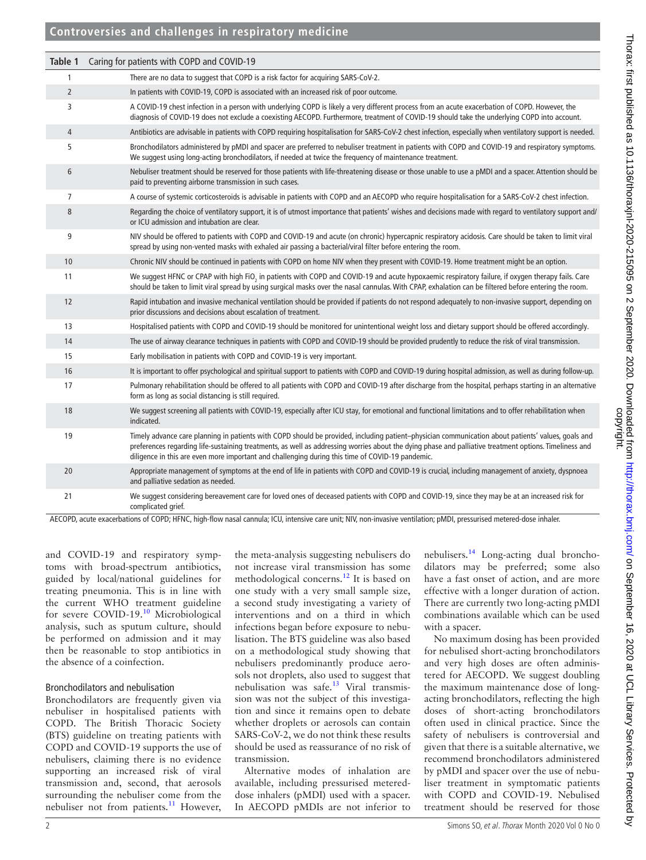<span id="page-1-0"></span>

| Table 1        | Caring for patients with COPD and COVID-19                                                                                                                                                                                                                                                                                                                                                                       |
|----------------|------------------------------------------------------------------------------------------------------------------------------------------------------------------------------------------------------------------------------------------------------------------------------------------------------------------------------------------------------------------------------------------------------------------|
| 1              | There are no data to suggest that COPD is a risk factor for acquiring SARS-CoV-2.                                                                                                                                                                                                                                                                                                                                |
| $\overline{2}$ | In patients with COVID-19, COPD is associated with an increased risk of poor outcome.                                                                                                                                                                                                                                                                                                                            |
| 3              | A COVID-19 chest infection in a person with underlying COPD is likely a very different process from an acute exacerbation of COPD. However, the<br>diagnosis of COVID-19 does not exclude a coexisting AECOPD. Furthermore, treatment of COVID-19 should take the underlying COPD into account.                                                                                                                  |
| 4              | Antibiotics are advisable in patients with COPD requiring hospitalisation for SARS-CoV-2 chest infection, especially when ventilatory support is needed.                                                                                                                                                                                                                                                         |
| 5              | Bronchodilators administered by pMDI and spacer are preferred to nebuliser treatment in patients with COPD and COVID-19 and respiratory symptoms.<br>We suggest using long-acting bronchodilators, if needed at twice the frequency of maintenance treatment.                                                                                                                                                    |
| 6              | Nebuliser treatment should be reserved for those patients with life-threatening disease or those unable to use a pMDI and a spacer. Attention should be<br>paid to preventing airborne transmission in such cases.                                                                                                                                                                                               |
| $\overline{7}$ | A course of systemic corticosteroids is advisable in patients with COPD and an AECOPD who require hospitalisation for a SARS-CoV-2 chest infection.                                                                                                                                                                                                                                                              |
| 8              | Regarding the choice of ventilatory support, it is of utmost importance that patients' wishes and decisions made with regard to ventilatory support and/<br>or ICU admission and intubation are clear.                                                                                                                                                                                                           |
| 9              | NIV should be offered to patients with COPD and COVID-19 and acute (on chronic) hypercapnic respiratory acidosis. Care should be taken to limit viral<br>spread by using non-vented masks with exhaled air passing a bacterial/viral filter before entering the room.                                                                                                                                            |
| 10             | Chronic NIV should be continued in patients with COPD on home NIV when they present with COVID-19. Home treatment might be an option.                                                                                                                                                                                                                                                                            |
| 11             | We suggest HFNC or CPAP with high FiO, in patients with COPD and COVID-19 and acute hypoxaemic respiratory failure, if oxygen therapy fails. Care<br>should be taken to limit viral spread by using surgical masks over the nasal cannulas. With CPAP, exhalation can be filtered before entering the room.                                                                                                      |
| 12             | Rapid intubation and invasive mechanical ventilation should be provided if patients do not respond adequately to non-invasive support, depending on<br>prior discussions and decisions about escalation of treatment.                                                                                                                                                                                            |
| 13             | Hospitalised patients with COPD and COVID-19 should be monitored for unintentional weight loss and dietary support should be offered accordingly.                                                                                                                                                                                                                                                                |
| 14             | The use of airway clearance techniques in patients with COPD and COVID-19 should be provided prudently to reduce the risk of viral transmission.                                                                                                                                                                                                                                                                 |
| 15             | Early mobilisation in patients with COPD and COVID-19 is very important.                                                                                                                                                                                                                                                                                                                                         |
| 16             | It is important to offer psychological and spiritual support to patients with COPD and COVID-19 during hospital admission, as well as during follow-up.                                                                                                                                                                                                                                                          |
| 17             | Pulmonary rehabilitation should be offered to all patients with COPD and COVID-19 after discharge from the hospital, perhaps starting in an alternative<br>form as long as social distancing is still required.                                                                                                                                                                                                  |
| 18             | We suggest screening all patients with COVID-19, especially after ICU stay, for emotional and functional limitations and to offer rehabilitation when<br>indicated.                                                                                                                                                                                                                                              |
| 19             | Timely advance care planning in patients with COPD should be provided, including patient-physician communication about patients' values, goals and<br>preferences regarding life-sustaining treatments, as well as addressing worries about the dying phase and palliative treatment options. Timeliness and<br>diligence in this are even more important and challenging during this time of COVID-19 pandemic. |
| 20             | Appropriate management of symptoms at the end of life in patients with COPD and COVID-19 is crucial, including management of anxiety, dyspnoea<br>and palliative sedation as needed.                                                                                                                                                                                                                             |
| 21             | We suggest considering bereavement care for loved ones of deceased patients with COPD and COVID-19, since they may be at an increased risk for<br>complicated grief.                                                                                                                                                                                                                                             |

AECOPD, acute exacerbations of COPD; HFNC, high-flow nasal cannula; ICU, intensive care unit; NIV, non-invasive ventilation; pMDI, pressurised metered-dose inhaler.

and COVID-19 and respiratory symptoms with broad-spectrum antibiotics, guided by local/national guidelines for treating pneumonia. This is in line with the current WHO treatment guideline for severe COVID-19.[10](#page-3-8) Microbiological analysis, such as sputum culture, should be performed on admission and it may then be reasonable to stop antibiotics in the absence of a coinfection.

# Bronchodilators and nebulisation

Bronchodilators are frequently given via nebuliser in hospitalised patients with COPD. The British Thoracic Society (BTS) guideline on treating patients with COPD and COVID-19 supports the use of nebulisers, claiming there is no evidence supporting an increased risk of viral transmission and, second, that aerosols surrounding the nebuliser come from the nebuliser not from patients. $11$  However, the meta-analysis suggesting nebulisers do not increase viral transmission has some methodological concerns.[12](#page-3-10) It is based on one study with a very small sample size, a second study investigating a variety of interventions and on a third in which infections began before exposure to nebulisation. The BTS guideline was also based on a methodological study showing that nebulisers predominantly produce aerosols not droplets, also used to suggest that nebulisation was safe.<sup>13</sup> Viral transmission was not the subject of this investigation and since it remains open to debate whether droplets or aerosols can contain SARS-CoV-2, we do not think these results should be used as reassurance of no risk of transmission.

Alternative modes of inhalation are available, including pressurised metereddose inhalers (pMDI) used with a spacer. In AECOPD pMDIs are not inferior to nebulisers.[14](#page-4-0) Long-acting dual bronchodilators may be preferred; some also have a fast onset of action, and are more effective with a longer duration of action. There are currently two long-acting pMDI combinations available which can be used with a spacer.

No maximum dosing has been provided for nebulised short-acting bronchodilators and very high doses are often administered for AECOPD. We suggest doubling the maximum maintenance dose of longacting bronchodilators, reflecting the high doses of short-acting bronchodilators often used in clinical practice. Since the safety of nebulisers is controversial and given that there is a suitable alternative, we recommend bronchodilators administered by pMDI and spacer over the use of nebuliser treatment in symptomatic patients with COPD and COVID-19. Nebulised treatment should be reserved for those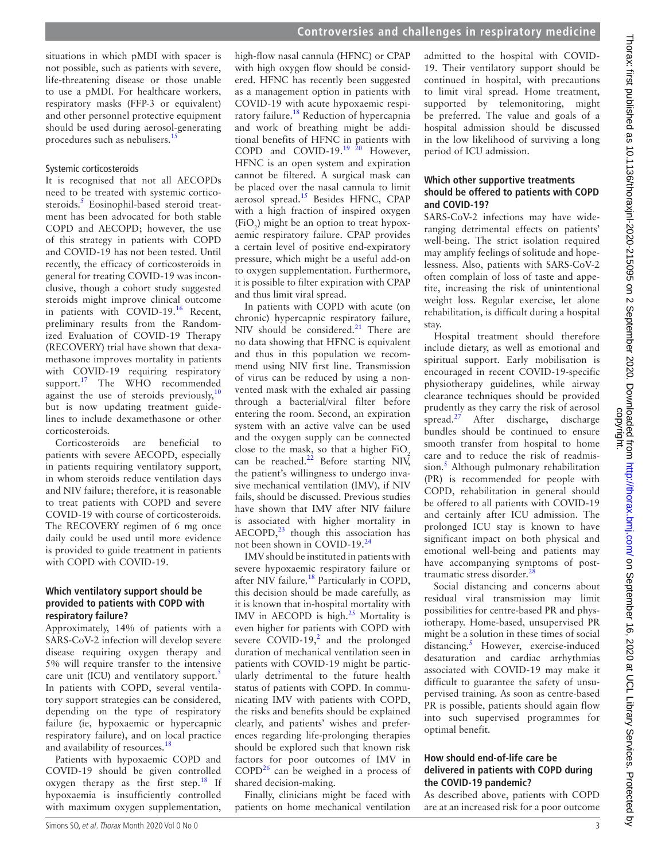situations in which pMDI with spacer is not possible, such as patients with severe, life-threatening disease or those unable to use a pMDI. For healthcare workers, respiratory masks (FFP-3 or equivalent) and other personnel protective equipment should be used during aerosol-generating procedures such as nebulisers.<sup>[15](#page-4-1)</sup>

### Systemic corticosteroids

It is recognised that not all AECOPDs need to be treated with systemic cortico-steroids.<sup>[5](#page-3-3)</sup> Eosinophil-based steroid treatment has been advocated for both stable COPD and AECOPD; however, the use of this strategy in patients with COPD and COVID-19 has not been tested. Until recently, the efficacy of corticosteroids in general for treating COVID-19 was inconclusive, though a cohort study suggested steroids might improve clinical outcome in patients with COVID-19.<sup>16</sup> Recent, preliminary results from the Randomized Evaluation of COVID-19 Therapy (RECOVERY) trial have shown that dexamethasone improves mortality in patients with COVID-19 requiring respiratory support.<sup>17</sup> The WHO recommended against the use of steroids previously,  $10$ but is now updating treatment guidelines to include dexamethasone or other corticosteroids.

Corticosteroids are beneficial to patients with severe AECOPD, especially in patients requiring ventilatory support, in whom steroids reduce ventilation days and NIV failure; therefore, it is reasonable to treat patients with COPD and severe COVID-19 with course of corticosteroids. The RECOVERY regimen of 6 mg once daily could be used until more evidence is provided to guide treatment in patients with COPD with COVID-19.

#### **Which ventilatory support should be provided to patients with COPD with respiratory failure?**

Approximately, 14% of patients with a SARS-CoV-2 infection will develop severe disease requiring oxygen therapy and 5% will require transfer to the intensive care unit (ICU) and ventilatory support.<sup>[5](#page-3-3)</sup> In patients with COPD, several ventilatory support strategies can be considered, depending on the type of respiratory failure (ie, hypoxaemic or hypercapnic respiratory failure), and on local practice and availability of resources.<sup>[18](#page-4-4)</sup>

Patients with hypoxaemic COPD and COVID-19 should be given controlled oxygen therapy as the first step.<sup>[18](#page-4-4)</sup> If hypoxaemia is insufficiently controlled with maximum oxygen supplementation,

high-flow nasal cannula (HFNC) or CPAP with high oxygen flow should be considered. HFNC has recently been suggested as a management option in patients with COVID-19 with acute hypoxaemic respiratory failure.<sup>18</sup> Reduction of hypercapnia and work of breathing might be additional benefits of HFNC in patients with COPD and COVID-19.<sup>19</sup> <sup>20</sup> However, HFNC is an open system and expiration cannot be filtered. A surgical mask can be placed over the nasal cannula to limit aerosol spread[.15](#page-4-1) Besides HFNC, CPAP with a high fraction of inspired oxygen  $(FiO_2)$  might be an option to treat hypoxaemic respiratory failure. CPAP provides a certain level of positive end-expiratory pressure, which might be a useful add-on to oxygen supplementation. Furthermore, it is possible to filter expiration with CPAP and thus limit viral spread.

In patients with COPD with acute (on chronic) hypercapnic respiratory failure, NIV should be considered. $21$  There are no data showing that HFNC is equivalent and thus in this population we recommend using NIV first line. Transmission of virus can be reduced by using a nonvented mask with the exhaled air passing through a bacterial/viral filter before entering the room. Second, an expiration system with an active valve can be used and the oxygen supply can be connected close to the mask, so that a higher  $FiO<sub>2</sub>$ can be reached. $^{22}$  Before starting NIV, the patient's willingness to undergo invasive mechanical ventilation (IMV), if NIV fails, should be discussed. Previous studies have shown that IMV after NIV failure is associated with higher mortality in  $AECOPD<sub>1</sub><sup>23</sup>$  $AECOPD<sub>1</sub><sup>23</sup>$  $AECOPD<sub>1</sub><sup>23</sup>$  though this association has not been shown in COVID-19[.24](#page-4-9)

IMV should be instituted in patients with severe hypoxaemic respiratory failure or after NIV failure.<sup>18</sup> Particularly in COPD, this decision should be made carefully, as it is known that in-hospital mortality with IMV in AECOPD is high. $^{25}$  Mortality is even higher for patients with COPD with severe  $\text{COVID-19}$ <sup>[2](#page-3-2)</sup> and the prolonged duration of mechanical ventilation seen in patients with COVID-19 might be particularly detrimental to the future health status of patients with COPD. In communicating IMV with patients with COPD, the risks and benefits should be explained clearly, and patients' wishes and preferences regarding life-prolonging therapies should be explored such that known risk factors for poor outcomes of IMV in  $COPD<sup>26</sup>$  $COPD<sup>26</sup>$  $COPD<sup>26</sup>$  can be weighed in a process of shared decision-making.

Finally, clinicians might be faced with patients on home mechanical ventilation admitted to the hospital with COVID-19. Their ventilatory support should be continued in hospital, with precautions to limit viral spread. Home treatment, supported by telemonitoring, might be preferred. The value and goals of a hospital admission should be discussed in the low likelihood of surviving a long period of ICU admission.

#### **Which other supportive treatments should be offered to patients with COPD and COVID-19?**

SARS-CoV-2 infections may have wideranging detrimental effects on patients' well-being. The strict isolation required may amplify feelings of solitude and hopelessness. Also, patients with SARS-CoV-2 often complain of loss of taste and appetite, increasing the risk of unintentional weight loss. Regular exercise, let alone rehabilitation, is difficult during a hospital stay.

Hospital treatment should therefore include dietary, as well as emotional and spiritual support. Early mobilisation is encouraged in recent COVID-19-specific physiotherapy guidelines, while airway clearance techniques should be provided prudently as they carry the risk of aerosol spread. $2^7$  After discharge, discharge bundles should be continued to ensure smooth transfer from hospital to home care and to reduce the risk of readmis-sion.<sup>[5](#page-3-3)</sup> Although pulmonary rehabilitation (PR) is recommended for people with COPD, rehabilitation in general should be offered to all patients with COVID-19 and certainly after ICU admission. The prolonged ICU stay is known to have significant impact on both physical and emotional well-being and patients may have accompanying symptoms of posttraumatic stress disorder. [28](#page-4-13)

Social distancing and concerns about residual viral transmission may limit possibilities for centre-based PR and physiotherapy. Home-based, unsupervised PR might be a solution in these times of social distancing.<sup>[5](#page-3-3)</sup> However, exercise-induced desaturation and cardiac arrhythmias associated with COVID-19 may make it difficult to guarantee the safety of unsupervised training. As soon as centre-based PR is possible, patients should again flow into such supervised programmes for optimal benefit.

#### **How should end-of-life care be delivered in patients with COPD during the COVID-19 pandemic?**

As described above, patients with COPD are at an increased risk for a poor outcome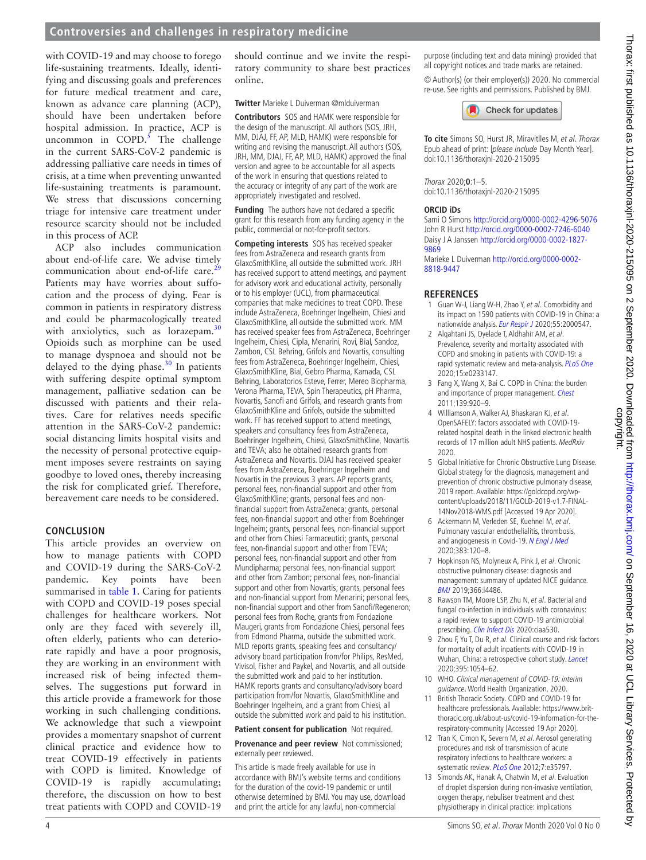with COVID-19 and may choose to forego life-sustaining treatments. Ideally, identifying and discussing goals and preferences for future medical treatment and care, known as advance care planning (ACP), should have been undertaken before hospital admission. In practice, ACP is uncommon in  $COPD$ .<sup>[5](#page-3-3)</sup> The challenge in the current SARS-CoV-2 pandemic is addressing palliative care needs in times of crisis, at a time when preventing unwanted life-sustaining treatments is paramount. We stress that discussions concerning triage for intensive care treatment under resource scarcity should not be included in this process of ACP.

ACP also includes communication about end-of-life care. We advise timely communication about end-of-life care.<sup>29</sup> Patients may have worries about suffocation and the process of dying. Fear is common in patients in respiratory distress and could be pharmacologically treated with anxiolytics, such as lorazepam.<sup>30</sup> Opioids such as morphine can be used to manage dyspnoea and should not be delayed to the dying phase.<sup>30</sup> In patients with suffering despite optimal symptom management, palliative sedation can be discussed with patients and their relatives. Care for relatives needs specific attention in the SARS-CoV-2 pandemic: social distancing limits hospital visits and the necessity of personal protective equipment imposes severe restraints on saying goodbye to loved ones, thereby increasing the risk for complicated grief. Therefore, bereavement care needs to be considered.

## **CONCLUSION**

This article provides an overview on how to manage patients with COPD and COVID-19 during the SARS-CoV-2 pandemic. Key points have been summarised in [table](#page-1-0) 1. Caring for patients with COPD and COVID-19 poses special challenges for healthcare workers. Not only are they faced with severely ill, often elderly, patients who can deteriorate rapidly and have a poor prognosis, they are working in an environment with increased risk of being infected themselves. The suggestions put forward in this article provide a framework for those working in such challenging conditions. We acknowledge that such a viewpoint provides a momentary snapshot of current clinical practice and evidence how to treat COVID-19 effectively in patients with COPD is limited. Knowledge of COVID-19 is rapidly accumulating; therefore, the discussion on how to best treat patients with COPD and COVID-19

should continue and we invite the respiratory community to share best practices online.

#### **Twitter** Marieke L Duiverman [@mlduiverman](https://twitter.com/mlduiverman)

**Contributors** SOS and HAMK were responsible for the design of the manuscript. All authors (SOS, JRH, MM, DJAJ, FF, AP, MLD, HAMK) were responsible for writing and revising the manuscript. All authors (SOS, JRH, MM, DJAJ, FF, AP, MLD, HAMK) approved the final version and agree to be accountable for all aspects of the work in ensuring that questions related to the accuracy or integrity of any part of the work are appropriately investigated and resolved.

**Funding** The authors have not declared a specific grant for this research from any funding agency in the public, commercial or not-for-profit sectors.

**Competing interests** SOS has received speaker fees from AstraZeneca and research grants from GlaxoSmithKline, all outside the submitted work. JRH has received support to attend meetings, and payment for advisory work and educational activity, personally or to his employer (UCL), from pharmaceutical companies that make medicines to treat COPD. These include AstraZeneca, Boehringer Ingelheim, Chiesi and GlaxoSmithKline, all outside the submitted work. MM has received speaker fees from AstraZeneca, Boehringer Ingelheim, Chiesi, Cipla, Menarini, Rovi, Bial, Sandoz, Zambon, CSL Behring, Grifols and Novartis, consulting fees from AstraZeneca, Boehringer Ingelheim, Chiesi, GlaxoSmithKline, Bial, Gebro Pharma, Kamada, CSL Behring, Laboratorios Esteve, Ferrer, Mereo Biopharma, Verona Pharma, TEVA, Spin Therapeutics, pH Pharma, Novartis, Sanofi and Grifols, and research grants from GlaxoSmithKline and Grifols, outside the submitted work. FF has received support to attend meetings, speakers and consultancy fees from AstraZeneca, Boehringer Ingelheim, Chiesi, GlaxoSmithKline, Novartis and TEVA; also he obtained research grants from AstraZeneca and Novartis. DJAJ has received speaker fees from AstraZeneca, Boehringer Ingelheim and Novartis in the previous 3 years. AP reports grants, personal fees, non-financial support and other from GlaxoSmithKline; grants, personal fees and nonfinancial support from AstraZeneca; grants, personal fees, non-financial support and other from Boehringer Ingelheim; grants, personal fees, non-financial support and other from Chiesi Farmaceutici; grants, personal fees, non-financial support and other from TEVA; personal fees, non-financial support and other from Mundipharma; personal fees, non-financial support and other from Zambon; personal fees, non-financial support and other from Novartis; grants, personal fees and non-financial support from Menarini; personal fees, non-financial support and other from Sanofi/Regeneron; personal fees from Roche, grants from Fondazione Maugeri, grants from Fondazione Chiesi, personal fees from Edmond Pharma, outside the submitted work. MLD reports grants, speaking fees and consultancy/ advisory board participation from/for Philips, ResMed, Vivisol, Fisher and Paykel, and Novartis, and all outside the submitted work and paid to her institution. HAMK reports grants and consultancy/advisory board participation from/for Novartis, GlaxoSmithKline and Boehringer Ingelheim, and a grant from Chiesi, all outside the submitted work and paid to his institution.

#### **Patient consent for publication** Not required.

**Provenance and peer review** Not commissioned; externally peer reviewed.

This article is made freely available for use in accordance with BMJ's website terms and conditions for the duration of the covid-19 pandemic or until otherwise determined by BMJ. You may use, download and print the article for any lawful, non-commercial

purpose (including text and data mining) provided that all copyright notices and trade marks are retained.

© Author(s) (or their employer(s)) 2020. No commercial re-use. See rights and permissions. Published by BMJ.



**To cite** Simons SO, Hurst JR, Miravitlles M, et al. Thorax Epub ahead of print: [please include Day Month Year]. doi:10.1136/thoraxjnl-2020-215095

Thorax 2020;**0**:1–5. doi:10.1136/thoraxjnl-2020-215095

### **ORCID iDs**

Sami O Simons <http://orcid.org/0000-0002-4296-5076> John R Hurst <http://orcid.org/0000-0002-7246-6040> Daisy J A Janssen [http://orcid.org/0000-0002-1827-](http://orcid.org/0000-0002-1827-9869) [9869](http://orcid.org/0000-0002-1827-9869)

Marieke L Duiverman [http://orcid.org/0000-0002-](http://orcid.org/0000-0002-8818-9447) [8818-9447](http://orcid.org/0000-0002-8818-9447)

## **REFERENCES**

- <span id="page-3-0"></span>1 Guan W-J, Liang W-H, Zhao Y, et al. Comorbidity and its impact on 1590 patients with COVID-19 in China: a nationwide analysis. [Eur Respir J](http://dx.doi.org/10.1183/13993003.00547-2020) 2020;55:2000547.
- <span id="page-3-2"></span>2 Alqahtani JS, Oyelade T, Aldhahir AM, et al. Prevalence, severity and mortality associated with COPD and smoking in patients with COVID-19: a rapid systematic review and meta-analysis. [PLoS One](http://dx.doi.org/10.1371/journal.pone.0233147) 2020;15:e0233147.
- <span id="page-3-1"></span>3 Fang X, Wang X, Bai C. COPD in China: the burden and importance of proper management. [Chest](http://dx.doi.org/10.1378/chest.10-1393) 2011;139:920–9.
- 4 Williamson A, Walker AJ, Bhaskaran KJ, et al. OpenSAFELY: factors associated with COVID-19 related hospital death in the linked electronic health records of 17 million adult NHS patients. MedRxiv 2020.
- <span id="page-3-3"></span>5 Global Initiative for Chronic Obstructive Lung Disease. Global strategy for the diagnosis, management and prevention of chronic obstructive pulmonary disease, 2019 report. Available: [https://goldcopd.org/wp](https://goldcopd.org/wp-content/uploads/2018/11/GOLD-2019-v1.7-FINAL-14Nov2018-WMS.pdf)[content/uploads/2018/11/GOLD-2019-v1.7-FINAL-](https://goldcopd.org/wp-content/uploads/2018/11/GOLD-2019-v1.7-FINAL-14Nov2018-WMS.pdf)[14Nov2018-WMS.pdf](https://goldcopd.org/wp-content/uploads/2018/11/GOLD-2019-v1.7-FINAL-14Nov2018-WMS.pdf) [Accessed 19 Apr 2020].
- <span id="page-3-4"></span>6 Ackermann M, Verleden SE, Kuehnel M, et al. Pulmonary vascular endothelialitis, thrombosis, and angiogenesis in Covid-19. [N Engl J Med](http://dx.doi.org/10.1056/NEJMoa2015432) 2020;383:120–8.
- <span id="page-3-5"></span>7 Hopkinson NS, Molyneux A, Pink J, et al. Chronic obstructive pulmonary disease: diagnosis and management: summary of updated NICE guidance. [BMJ](http://dx.doi.org/10.1136/bmj.l4486) 2019;366:14486.
- <span id="page-3-6"></span>8 Rawson TM, Moore LSP, Zhu N, et al. Bacterial and fungal co-infection in individuals with coronavirus: a rapid review to support COVID-19 antimicrobial prescribing. [Clin Infect Dis](http://dx.doi.org/10.1093/cid/ciaa530) 2020:ciaa530.
- <span id="page-3-7"></span>9 Zhou F, Yu T, Du R, et al. Clinical course and risk factors for mortality of adult inpatients with COVID-19 in Wuhan, China: a retrospective cohort study. [Lancet](http://dx.doi.org/10.1016/S0140-6736(20)30566-3) 2020;395:1054–62.
- <span id="page-3-8"></span>10 WHO. Clinical management of COVID-19: interim guidance. World Health Organization, 2020.
- <span id="page-3-9"></span>11 British Thoracic Society. COPD and COVID-19 for healthcare professionals. Available: [https://www.brit](https://www.brit-thoracic.org.uk/about-us/covid-19-information-for-the-respiratory-community)[thoracic.org.uk/about-us/covid-19-information-for-the](https://www.brit-thoracic.org.uk/about-us/covid-19-information-for-the-respiratory-community)[respiratory-community](https://www.brit-thoracic.org.uk/about-us/covid-19-information-for-the-respiratory-community) [Accessed 19 Apr 2020].
- <span id="page-3-10"></span>12 Tran K, Cimon K, Severn M, et al. Aerosol generating procedures and risk of transmission of acute respiratory infections to healthcare workers: a systematic review. [PLoS One](http://dx.doi.org/10.1371/journal.pone.0035797) 2012;7:e35797.
- <span id="page-3-11"></span>13 Simonds AK, Hanak A, Chatwin M, et al. Evaluation of droplet dispersion during non-invasive ventilation, oxygen therapy, nebuliser treatment and chest physiotherapy in clinical practice: implications